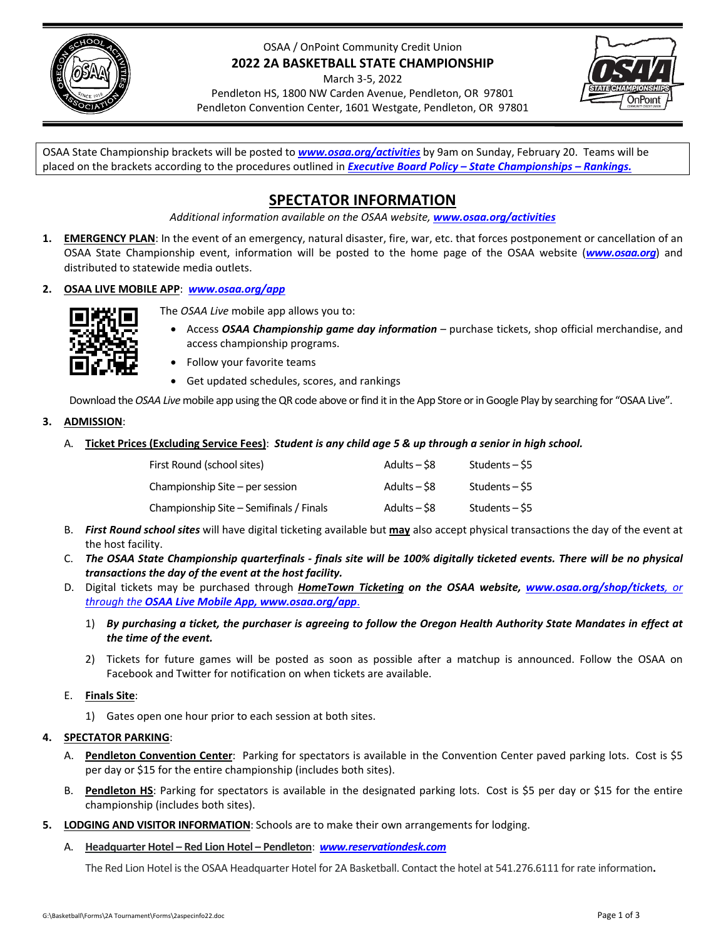

# OSAA / OnPoint Community Credit Union **2022 2A BASKETBALL STATE CHAMPIONSHIP**

March 3‐5, 2022

Pendleton HS, 1800 NW Carden Avenue, Pendleton, OR 97801 Pendleton Convention Center, 1601 Westgate, Pendleton, OR 97801



OSAA State Championship brackets will be posted to *[www.osaa.org/activities](https://www.osaa.org/activities)* by 9am on Sunday, February 20. Teams will be placed on the brackets according to the procedures outlined in *Executive Board Policy – State [Championships](https://www.osaa.org/governance/handbooks/osaa#_Toc456100456) – Rankings.*

# **SPECTATOR INFORMATION**

*Additional information available on the OSAA website, [www.osaa.org/activities](https://www.osaa.org/activities)*

**1. EMERGENCY PLAN**: In the event of an emergency, natural disaster, fire, war, etc. that forces postponement or cancellation of an OSAA State Championship event, information will be posted to the home page of the OSAA website (*[www.osaa.org](https://www.osaa.org)*) and distributed to statewide media outlets.

## **2. OSAA LIVE MOBILE APP**: *[www.osaa.org/app](https://www.osaa.org/app)*



- The *OSAA Live* mobile app allows you to:
	- Access *OSAA Championship game day information* purchase tickets, shop official merchandise, and access championship programs.
	- Follow your favorite teams
	- Get updated schedules, scores, and rankings

Download the OSAA Live mobile app using the QR code above or find it in the App Store or in Google Play by searching for "OSAA Live".

**3. ADMISSION**:

## A. Ticket Prices (Excluding Service Fees): Student is any child age 5 & up through a senior in high school.

| First Round (school sites)              | Adults – \$8 | Students – S5  |
|-----------------------------------------|--------------|----------------|
| Championship Site – per session         | Adults – \$8 | Students – S5  |
| Championship Site - Semifinals / Finals | Adults – S8  | Students – \$5 |

- B. *First Round school sites* will have digital ticketing available but **may** also accept physical transactions the day of the event at the host facility.
- C. The OSAA State Championship quarterfinals finals site will be 100% digitally ticketed events. There will be no physical *transactions the day of the event at the host facility.*
- D. Digital tickets may be purchased through *HomeTown Ticketing on the OSAA website, [www.osaa.org/shop/tickets](https://www.osaa.org/shop/tickets), or through the OSAA Live Mobile App, [www.osaa.org/app](https://www.osaa.org/app)*.
	- 1) By purchasing a ticket, the purchaser is agreeing to follow the Oregon Health Authority State Mandates in effect at *the time of the event.*
	- 2) Tickets for future games will be posted as soon as possible after a matchup is announced. Follow the OSAA on Facebook and Twitter for notification on when tickets are available.

# E. **Finals Site**:

1) Gates open one hour prior to each session at both sites.

# **4. SPECTATOR PARKING**:

- A. **Pendleton Convention Center**: Parking for spectators is available in the Convention Center paved parking lots. Cost is \$5 per day or \$15 for the entire championship (includes both sites).
- B. **Pendleton HS**: Parking for spectators is available in the designated parking lots. Cost is \$5 per day or \$15 for the entire championship (includes both sites).
- **5. LODGING AND VISITOR INFORMATION**: Schools are to make their own arrangements for lodging.
	- A. **Headquarter Hotel – Red Lion Hotel – Pendleton**: *[www.reservationdesk.com](https://www.redlion.com/red-lion-hotels/or/pendleton/red-lion-hotel-pendleton/)*

The Red Lion Hotel isthe OSAA Headquarter Hotel for 2A Basketball. Contact the hotel at 541.276.6111 for rate information**.**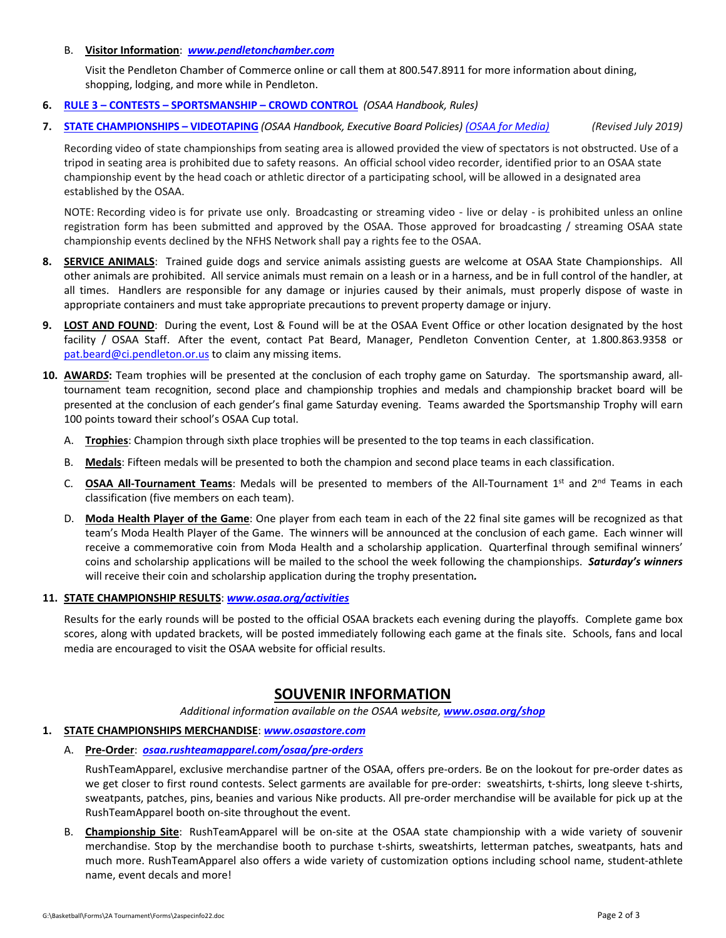#### B. **Visitor Information**: *[www.pendletonchamber.com](https://www.pendletonchamber.com)*

Visit the Pendleton Chamber of Commerce online or call them at 800.547.8911 for more information about dining, shopping, lodging, and more while in Pendleton.

- **6. RULE 3 – CONTESTS – [SPORTSMANSHIP](https://www.osaa.org/governance/handbooks/osaa#_Toc456100266) – CROWD CONTROL** *(OSAA Handbook, Rules)*
- 7. STATE [CHAMPIONSHIPS](https://www.osaa.org/governance/handbooks/osaa#_Toc456100461) VIDEOTAPING (OSAA Handbook, Executive Board Policies) (OSAA for [Media\)](https://www.osaa.org/media) (Revised July 2019)

Recording video of state championships from seating area is allowed provided the view of spectators is not obstructed. Use of a tripod in seating area is prohibited due to safety reasons. An official school video recorder, identified prior to an OSAA state championship event by the head coach or athletic director of a participating school, will be allowed in a designated area established by the OSAA.

NOTE: Recording video is for private use only. Broadcasting or streaming video - live or delay - is prohibited unless an online registration form has been submitted and approved by the OSAA. Those approved for broadcasting / streaming OSAA state championship events declined by the NFHS Network shall pay a rights fee to the OSAA.

- **8. SERVICE ANIMALS**: Trained guide dogs and service animals assisting guests are welcome at OSAA State Championships. All other animals are prohibited. All service animals must remain on a leash or in a harness, and be in full control of the handler, at all times. Handlers are responsible for any damage or injuries caused by their animals, must properly dispose of waste in appropriate containers and must take appropriate precautions to prevent property damage or injury.
- **9. LOST AND FOUND**: During the event, Lost & Found will be at the OSAA Event Office or other location designated by the host facility / OSAA Staff. After the event, contact Pat Beard, Manager, Pendleton Convention Center, at 1.800.863.9358 or pat.beard@ci.pendleton.or.us to claim any missing items.
- **10. AWARD***S***:** Team trophies will be presented at the conclusion of each trophy game on Saturday. The sportsmanship award, all‐ tournament team recognition, second place and championship trophies and medals and championship bracket board will be presented at the conclusion of each gender's final game Saturday evening. Teams awarded the Sportsmanship Trophy will earn 100 points toward their school's OSAA Cup total.
	- A. **Trophies**: Champion through sixth place trophies will be presented to the top teams in each classification.
	- B. **Medals**: Fifteen medals will be presented to both the champion and second place teams in each classification.
	- C. **OSAA All‐Tournament Teams**: Medals will be presented to members of the All‐Tournament 1st and 2nd Teams in each classification (five members on each team).
	- D. **Moda Health Player of the Game**: One player from each team in each of the 22 final site games will be recognized as that team's Moda Health Player of the Game. The winners will be announced at the conclusion of each game. Each winner will receive a commemorative coin from Moda Health and a scholarship application. Quarterfinal through semifinal winners' coins and scholarship applications will be mailed to the school the week following the championships. *Saturday's winners* will receive their coin and scholarship application during the trophy presentation*.*

## **11. STATE CHAMPIONSHIP RESULTS**: *[www.osaa.org/activities](https://www.osaa.org/activities)*

Results for the early rounds will be posted to the official OSAA brackets each evening during the playoffs. Complete game box scores, along with updated brackets, will be posted immediately following each game at the finals site. Schools, fans and local media are encouraged to visit the OSAA website for official results.

# **SOUVENIR INFORMATION**

*Additional information available on the OSAA website, [www.osaa.org/shop](https://www.osaa.org/shop)*

#### **1. STATE CHAMPIONSHIPS MERCHANDISE**: *[www.osaastore.com](https://www.osaastore.com)*

A. **Pre‐Order**:*[osaa.rushteamapparel.com/osaa/pre](https://osaa.rushteamapparel.com/osaa/pre-orders/)‐orders*

RushTeamApparel, exclusive merchandise partner of the OSAA, offers pre‐orders. Be on the lookout for pre‐order dates as we get closer to first round contests. Select garments are available for pre-order: sweatshirts, t-shirts, long sleeve t-shirts, sweatpants, patches, pins, beanies and various Nike products. All pre‐order merchandise will be available for pick up at the RushTeamApparel booth on‐site throughout the event.

B. **Championship Site**: RushTeamApparel will be on‐site at the OSAA state championship with a wide variety of souvenir merchandise. Stop by the merchandise booth to purchase t-shirts, sweatshirts, letterman patches, sweatpants, hats and much more. RushTeamApparel also offers a wide variety of customization options including school name, student‐athlete name, event decals and more!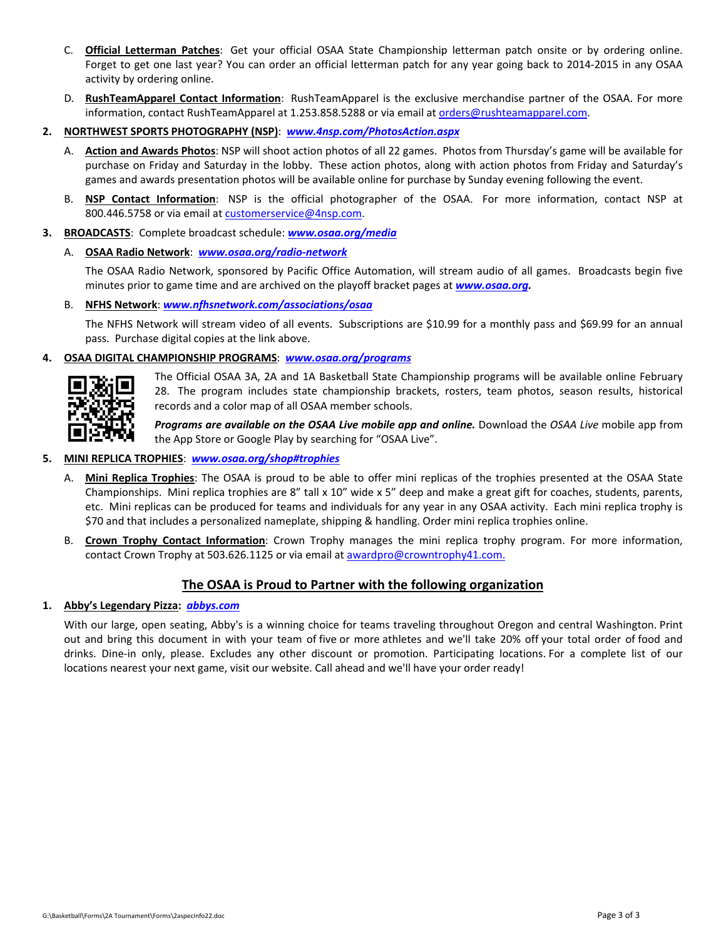- C. **Official Letterman Patches**: Get your official OSAA State Championship letterman patch onsite or by ordering online. Forget to get one last year? You can order an official letterman patch for any year going back to 2014‐2015 in any OSAA activity by ordering online.
- D. **RushTeamApparel Contact Information**: RushTeamApparel is the exclusive merchandise partner of the OSAA. For more information, contact RushTeamApparel at 1.253.858.5288 or via email at orders@rushteamapparel.com.
- **2. NORTHWEST SPORTS PHOTOGRAPHY (NSP)**: *[www.4nsp.com/PhotosAction.aspx](https://www.4nsp.com/PhotosAction.aspx)*
	- A. **Action and Awards Photos**: NSP will shoot action photos of all 22 games. Photos from Thursday's game will be available for purchase on Friday and Saturday in the lobby. These action photos, along with action photos from Friday and Saturday's games and awards presentation photos will be available online for purchase by Sunday evening following the event.
	- B. **NSP Contact Information**: NSP is the official photographer of the OSAA. For more information, contact NSP at 800.446.5758 or via email at customerservice@4nsp.com.
- **3. BROADCASTS**: Complete broadcast schedule: *[www.osaa.org/media](https://www.osaa.org/media)*
	- A. **OSAA Radio Network**: *[www.osaa.org/radio](https://www.osaa.org/radio-network)‐network*

The OSAA Radio Network, sponsored by Pacific Office Automation, will stream audio of all games. Broadcasts begin five minutes prior to game time and are archived on the playoff bracket pages at *[www.osaa.org.](https://www.osaa.org)*

B. **NFHS Network**: *[www.nfhsnetwork.com/associations/osaa](https:/www.nfhsnetwork.com/associations/osaa)*

The NFHS Network will stream video of all events. Subscriptions are \$10.99 for a monthly pass and \$69.99 for an annual pass. Purchase digital copies at the link above.

#### **4. OSAA DIGITAL CHAMPIONSHIP PROGRAMS**: *[www.osaa.org/programs](https://www.osaa.org/programs)*



The Official OSAA 3A, 2A and 1A Basketball State Championship programs will be available online February 28. The program includes state championship brackets, rosters, team photos, season results, historical records and a color map of all OSAA member schools.

*Programs are available on the OSAA Live mobile app and online.* Download the *OSAA Live* mobile app from the App Store or Google Play by searching for "OSAA Live".

#### **5. MINI REPLICA TROPHIES**: *[www.osaa.org/shop#trophies](https://www.osaa.org/shop#trophies)*

- A. **Mini Replica Trophies**: The OSAA is proud to be able to offer mini replicas of the trophies presented at the OSAA State Championships. Mini replica trophies are 8" tall x 10" wide x 5" deep and make a great gift for coaches, students, parents, etc. Mini replicas can be produced for teams and individuals for any year in any OSAA activity. Each mini replica trophy is \$70 and that includes a personalized nameplate, shipping & handling. Order mini replica trophies online.
- B. **Crown Trophy Contact Information**: Crown Trophy manages the mini replica trophy program. For more information, contact Crown Trophy at 503.626.1125 or via email at awardpro@crowntrophy41.com.

## **The OSAA is Proud to Partner with the following organization**

## **1. Abby's Legendary Pizza:** *[abbys.com](https://abbys.com/)*

With our large, open seating, Abby's is a winning choice for teams traveling throughout Oregon and central Washington. Print out and bring this document in with your team of five or more athletes and we'll take 20% off your total order of food and drinks. Dine‐in only, please. Excludes any other discount or promotion. Participating locations. For a complete list of our locations nearest your next game, visit our website. Call ahead and we'll have your order ready!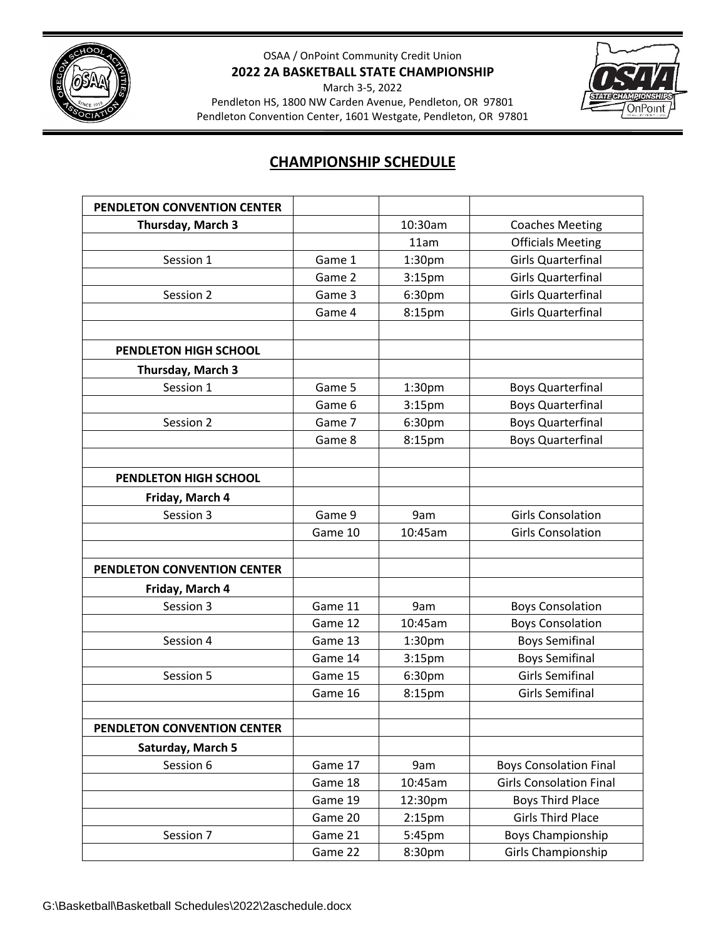

# OSAA / OnPoint Community Credit Union **2022 2A BASKETBALL STATE CHAMPIONSHIP**

March 3-5, 2022

Pendleton HS, 1800 NW Carden Avenue, Pendleton, OR 97801 Pendleton Convention Center, 1601 Westgate, Pendleton, OR 97801



# **CHAMPIONSHIP SCHEDULE**

| PENDLETON CONVENTION CENTER |         |                    |                                |
|-----------------------------|---------|--------------------|--------------------------------|
| Thursday, March 3           |         | 10:30am            | <b>Coaches Meeting</b>         |
|                             |         | 11am               | <b>Officials Meeting</b>       |
| Session 1                   | Game 1  | 1:30pm             | <b>Girls Quarterfinal</b>      |
|                             | Game 2  | 3:15 <sub>pm</sub> | <b>Girls Quarterfinal</b>      |
| Session 2                   | Game 3  | 6:30pm             | <b>Girls Quarterfinal</b>      |
|                             | Game 4  | 8:15pm             | <b>Girls Quarterfinal</b>      |
|                             |         |                    |                                |
| PENDLETON HIGH SCHOOL       |         |                    |                                |
| Thursday, March 3           |         |                    |                                |
| Session 1                   | Game 5  | 1:30 <sub>pm</sub> | <b>Boys Quarterfinal</b>       |
|                             | Game 6  | 3:15 <sub>pm</sub> | <b>Boys Quarterfinal</b>       |
| Session 2                   | Game 7  | 6:30pm             | <b>Boys Quarterfinal</b>       |
|                             | Game 8  | 8:15pm             | <b>Boys Quarterfinal</b>       |
|                             |         |                    |                                |
| PENDLETON HIGH SCHOOL       |         |                    |                                |
| Friday, March 4             |         |                    |                                |
| Session 3                   | Game 9  | 9am                | <b>Girls Consolation</b>       |
|                             | Game 10 | 10:45am            | <b>Girls Consolation</b>       |
|                             |         |                    |                                |
| PENDLETON CONVENTION CENTER |         |                    |                                |
| Friday, March 4             |         |                    |                                |
| Session 3                   | Game 11 | 9am                | <b>Boys Consolation</b>        |
|                             | Game 12 | 10:45am            | <b>Boys Consolation</b>        |
| Session 4                   | Game 13 | 1:30pm             | <b>Boys Semifinal</b>          |
|                             | Game 14 | 3:15 <sub>pm</sub> | <b>Boys Semifinal</b>          |
| Session 5                   | Game 15 | 6:30pm             | <b>Girls Semifinal</b>         |
|                             | Game 16 | 8:15pm             | <b>Girls Semifinal</b>         |
|                             |         |                    |                                |
| PENDLETON CONVENTION CENTER |         |                    |                                |
| Saturday, March 5           |         |                    |                                |
| Session 6                   | Game 17 | 9am                | <b>Boys Consolation Final</b>  |
|                             | Game 18 | 10:45am            | <b>Girls Consolation Final</b> |
|                             | Game 19 | 12:30pm            | <b>Boys Third Place</b>        |
|                             | Game 20 | 2:15 <sub>pm</sub> | <b>Girls Third Place</b>       |
| Session 7                   | Game 21 | 5:45pm             | Boys Championship              |
|                             | Game 22 | 8:30pm             | Girls Championship             |